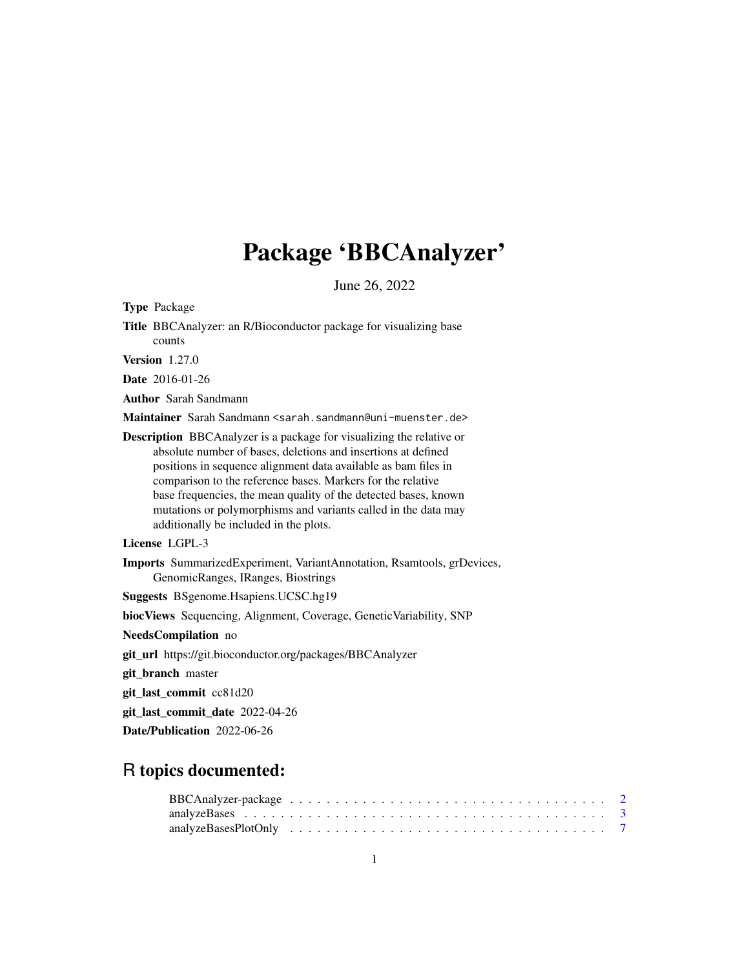## Package 'BBCAnalyzer'

June 26, 2022

Type Package

| Title BBCAnalyzer: an R/Bioconductor package for visualizing base |  |  |
|-------------------------------------------------------------------|--|--|
| counts                                                            |  |  |

Version 1.27.0

Date 2016-01-26

Author Sarah Sandmann

Maintainer Sarah Sandmann <sarah.sandmann@uni-muenster.de>

Description BBCAnalyzer is a package for visualizing the relative or absolute number of bases, deletions and insertions at defined positions in sequence alignment data available as bam files in comparison to the reference bases. Markers for the relative base frequencies, the mean quality of the detected bases, known mutations or polymorphisms and variants called in the data may additionally be included in the plots.

License LGPL-3

Imports SummarizedExperiment, VariantAnnotation, Rsamtools, grDevices, GenomicRanges, IRanges, Biostrings

Suggests BSgenome.Hsapiens.UCSC.hg19

biocViews Sequencing, Alignment, Coverage, GeneticVariability, SNP

NeedsCompilation no

git\_url https://git.bioconductor.org/packages/BBCAnalyzer

git\_branch master

git\_last\_commit cc81d20

git\_last\_commit\_date 2022-04-26

Date/Publication 2022-06-26

### R topics documented: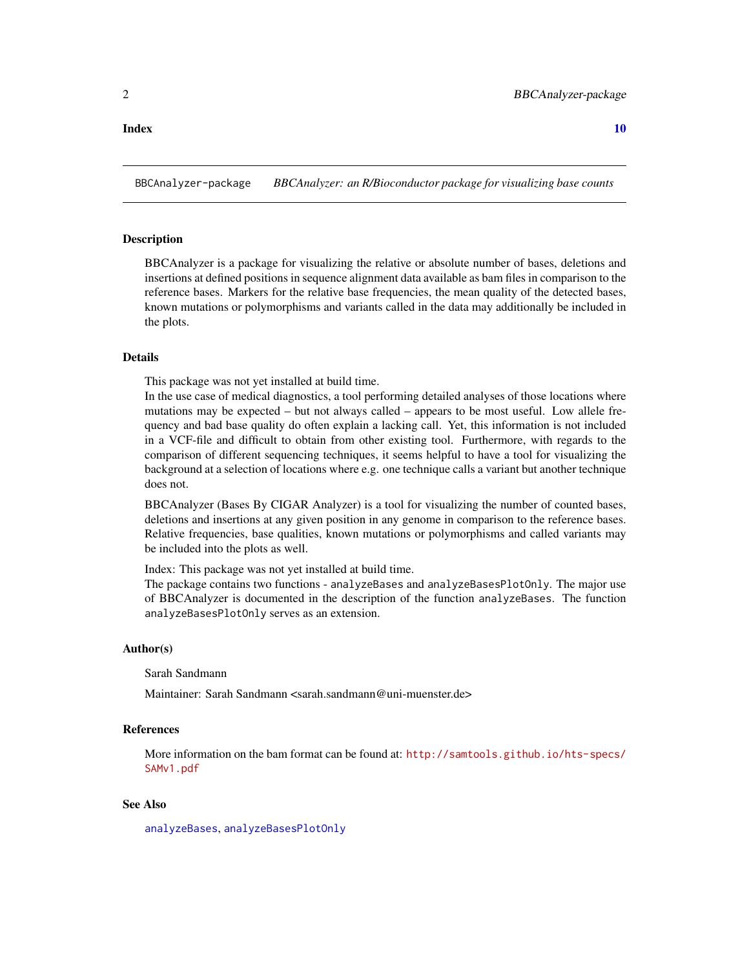#### <span id="page-1-0"></span> $\blacksquare$

BBCAnalyzer-package *BBCAnalyzer: an R/Bioconductor package for visualizing base counts*

#### <span id="page-1-1"></span>**Description**

BBCAnalyzer is a package for visualizing the relative or absolute number of bases, deletions and insertions at defined positions in sequence alignment data available as bam files in comparison to the reference bases. Markers for the relative base frequencies, the mean quality of the detected bases, known mutations or polymorphisms and variants called in the data may additionally be included in the plots.

#### Details

This package was not yet installed at build time.

In the use case of medical diagnostics, a tool performing detailed analyses of those locations where mutations may be expected – but not always called – appears to be most useful. Low allele frequency and bad base quality do often explain a lacking call. Yet, this information is not included in a VCF-file and difficult to obtain from other existing tool. Furthermore, with regards to the comparison of different sequencing techniques, it seems helpful to have a tool for visualizing the background at a selection of locations where e.g. one technique calls a variant but another technique does not.

BBCAnalyzer (Bases By CIGAR Analyzer) is a tool for visualizing the number of counted bases, deletions and insertions at any given position in any genome in comparison to the reference bases. Relative frequencies, base qualities, known mutations or polymorphisms and called variants may be included into the plots as well.

Index: This package was not yet installed at build time.

The package contains two functions - analyzeBases and analyzeBasesPlotOnly. The major use of BBCAnalyzer is documented in the description of the function analyzeBases. The function analyzeBasesPlotOnly serves as an extension.

#### Author(s)

Sarah Sandmann

Maintainer: Sarah Sandmann <sarah.sandmann@uni-muenster.de>

#### References

More information on the bam format can be found at: [http://samtools.github.io/hts-specs/](http://samtools.github.io/hts-specs/SAMv1.pdf) [SAMv1.pdf](http://samtools.github.io/hts-specs/SAMv1.pdf)

#### See Also

[analyzeBases](#page-2-1), [analyzeBasesPlotOnly](#page-6-1)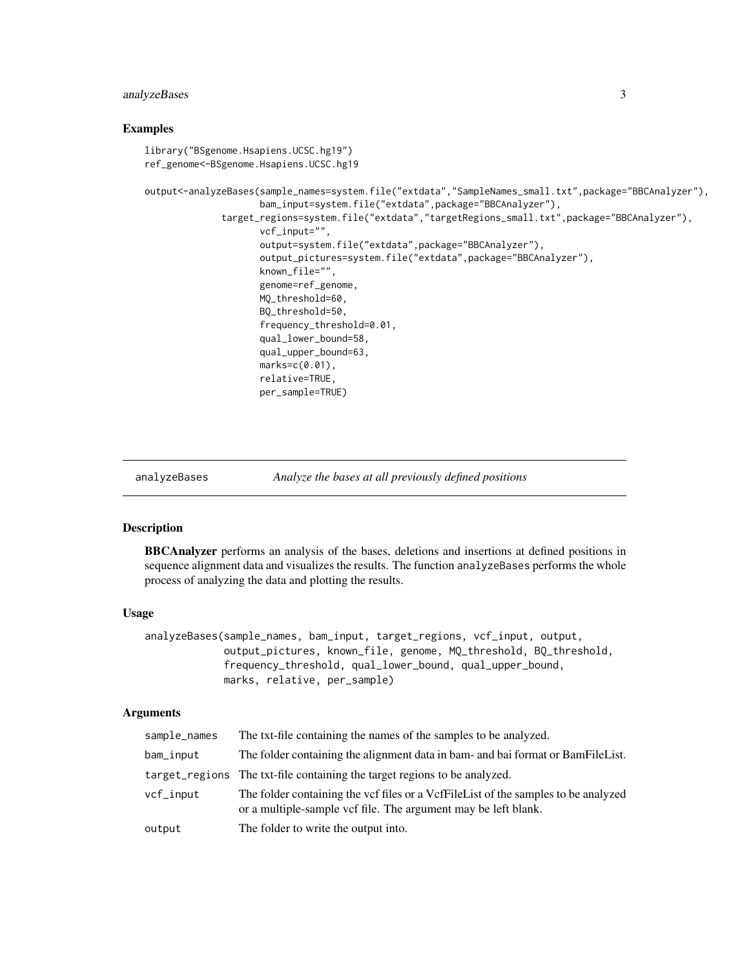#### <span id="page-2-0"></span>analyzeBases 3

#### Examples

```
library("BSgenome.Hsapiens.UCSC.hg19")
ref_genome<-BSgenome.Hsapiens.UCSC.hg19
output<-analyzeBases(sample_names=system.file("extdata","SampleNames_small.txt",package="BBCAnalyzer"),
                     bam_input=system.file("extdata",package="BBCAnalyzer"),
              target_regions=system.file("extdata","targetRegions_small.txt",package="BBCAnalyzer"),
                     vcf_input="",
                     output=system.file("extdata",package="BBCAnalyzer"),
                     output_pictures=system.file("extdata",package="BBCAnalyzer"),
                     known_file="",
                     genome=ref_genome,
                     MQ_threshold=60,
                     BQ_threshold=50,
                     frequency_threshold=0.01,
                     qual_lower_bound=58,
                     qual_upper_bound=63,
                     marks=c(0.01),
                     relative=TRUE,
                     per_sample=TRUE)
```

```
analyzeBases Analyze the bases at all previously defined positions
```
#### Description

BBCAnalyzer performs an analysis of the bases, deletions and insertions at defined positions in sequence alignment data and visualizes the results. The function analyzeBases performs the whole process of analyzing the data and plotting the results.

#### Usage

```
analyzeBases(sample_names, bam_input, target_regions, vcf_input, output,
             output_pictures, known_file, genome, MQ_threshold, BQ_threshold,
             frequency_threshold, qual_lower_bound, qual_upper_bound,
             marks, relative, per_sample)
```
#### Arguments

| sample_names | The txt-file containing the names of the samples to be analyzed.                                                                                     |
|--------------|------------------------------------------------------------------------------------------------------------------------------------------------------|
| bam_input    | The folder containing the alignment data in bam- and bai format or BamFileList.                                                                      |
|              | target_regions The txt-file containing the target regions to be analyzed.                                                                            |
| vcf_input    | The folder containing the vcf files or a VcfFileList of the samples to be analyzed<br>or a multiple-sample vef file. The argument may be left blank. |
| output       | The folder to write the output into.                                                                                                                 |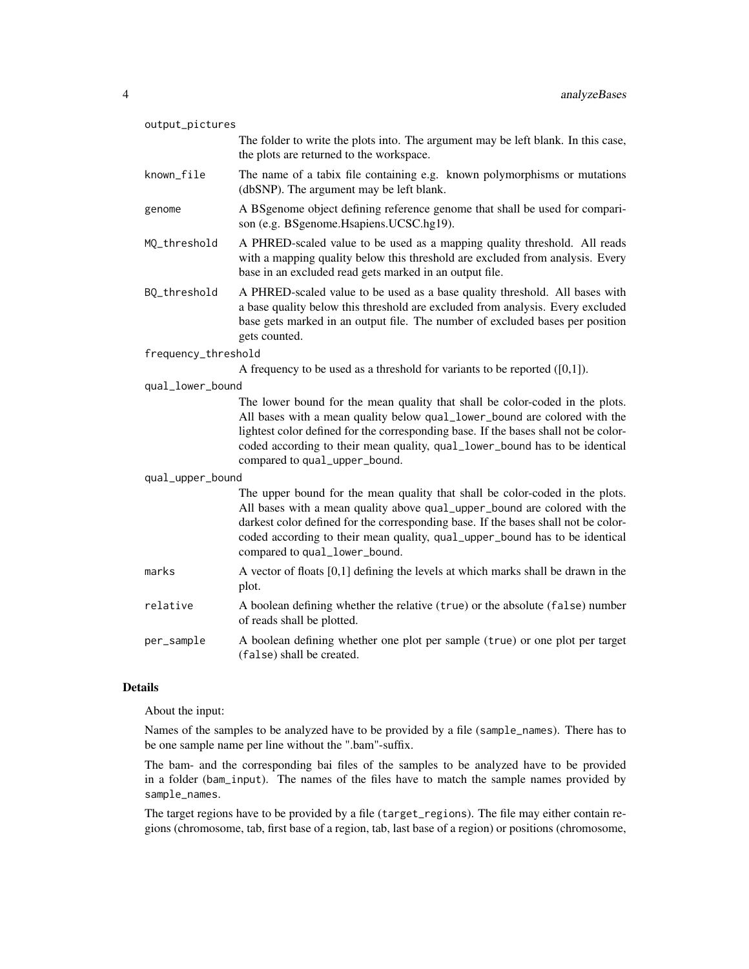| output_pictures     |                                                                                                                                                                                                                                                                                                                                                                  |
|---------------------|------------------------------------------------------------------------------------------------------------------------------------------------------------------------------------------------------------------------------------------------------------------------------------------------------------------------------------------------------------------|
|                     | The folder to write the plots into. The argument may be left blank. In this case,<br>the plots are returned to the workspace.                                                                                                                                                                                                                                    |
| known_file          | The name of a tabix file containing e.g. known polymorphisms or mutations<br>(dbSNP). The argument may be left blank.                                                                                                                                                                                                                                            |
| genome              | A BSgenome object defining reference genome that shall be used for compari-<br>son (e.g. BSgenome.Hsapiens.UCSC.hg19).                                                                                                                                                                                                                                           |
| MQ_threshold        | A PHRED-scaled value to be used as a mapping quality threshold. All reads<br>with a mapping quality below this threshold are excluded from analysis. Every<br>base in an excluded read gets marked in an output file.                                                                                                                                            |
| BQ_threshold        | A PHRED-scaled value to be used as a base quality threshold. All bases with<br>a base quality below this threshold are excluded from analysis. Every excluded<br>base gets marked in an output file. The number of excluded bases per position<br>gets counted.                                                                                                  |
| frequency_threshold |                                                                                                                                                                                                                                                                                                                                                                  |
|                     | A frequency to be used as a threshold for variants to be reported $([0,1])$ .                                                                                                                                                                                                                                                                                    |
| qual_lower_bound    |                                                                                                                                                                                                                                                                                                                                                                  |
|                     | The lower bound for the mean quality that shall be color-coded in the plots.<br>All bases with a mean quality below qual_lower_bound are colored with the<br>lightest color defined for the corresponding base. If the bases shall not be color-<br>coded according to their mean quality, qual_lower_bound has to be identical<br>compared to qual_upper_bound. |
| qual_upper_bound    |                                                                                                                                                                                                                                                                                                                                                                  |
|                     | The upper bound for the mean quality that shall be color-coded in the plots.<br>All bases with a mean quality above qual_upper_bound are colored with the<br>darkest color defined for the corresponding base. If the bases shall not be color-<br>coded according to their mean quality, qual_upper_bound has to be identical<br>compared to qual_lower_bound.  |
| marks               | A vector of floats [0,1] defining the levels at which marks shall be drawn in the<br>plot.                                                                                                                                                                                                                                                                       |
| relative            | A boolean defining whether the relative (true) or the absolute (false) number<br>of reads shall be plotted.                                                                                                                                                                                                                                                      |
| per_sample          | A boolean defining whether one plot per sample (true) or one plot per target                                                                                                                                                                                                                                                                                     |
|                     | (false) shall be created.                                                                                                                                                                                                                                                                                                                                        |

#### Details

About the input:

Names of the samples to be analyzed have to be provided by a file (sample\_names). There has to be one sample name per line without the ".bam"-suffix.

The bam- and the corresponding bai files of the samples to be analyzed have to be provided in a folder (bam\_input). The names of the files have to match the sample names provided by sample\_names.

The target regions have to be provided by a file (target\_regions). The file may either contain regions (chromosome, tab, first base of a region, tab, last base of a region) or positions (chromosome,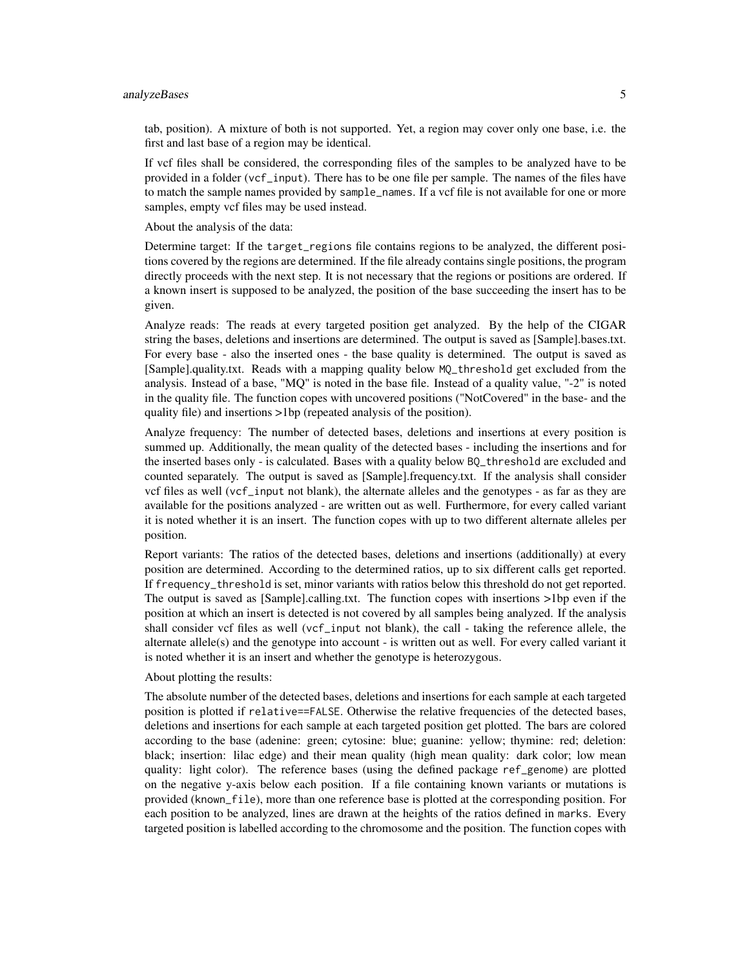#### analyzeBases 5

tab, position). A mixture of both is not supported. Yet, a region may cover only one base, i.e. the first and last base of a region may be identical.

If vcf files shall be considered, the corresponding files of the samples to be analyzed have to be provided in a folder (vcf\_input). There has to be one file per sample. The names of the files have to match the sample names provided by sample\_names. If a vcf file is not available for one or more samples, empty vcf files may be used instead.

About the analysis of the data:

Determine target: If the target\_regions file contains regions to be analyzed, the different positions covered by the regions are determined. If the file already contains single positions, the program directly proceeds with the next step. It is not necessary that the regions or positions are ordered. If a known insert is supposed to be analyzed, the position of the base succeeding the insert has to be given.

Analyze reads: The reads at every targeted position get analyzed. By the help of the CIGAR string the bases, deletions and insertions are determined. The output is saved as [Sample].bases.txt. For every base - also the inserted ones - the base quality is determined. The output is saved as [Sample].quality.txt. Reads with a mapping quality below MQ\_threshold get excluded from the analysis. Instead of a base, "MQ" is noted in the base file. Instead of a quality value, "-2" is noted in the quality file. The function copes with uncovered positions ("NotCovered" in the base- and the quality file) and insertions >1bp (repeated analysis of the position).

Analyze frequency: The number of detected bases, deletions and insertions at every position is summed up. Additionally, the mean quality of the detected bases - including the insertions and for the inserted bases only - is calculated. Bases with a quality below BQ\_threshold are excluded and counted separately. The output is saved as [Sample].frequency.txt. If the analysis shall consider vcf files as well (vcf\_input not blank), the alternate alleles and the genotypes - as far as they are available for the positions analyzed - are written out as well. Furthermore, for every called variant it is noted whether it is an insert. The function copes with up to two different alternate alleles per position.

Report variants: The ratios of the detected bases, deletions and insertions (additionally) at every position are determined. According to the determined ratios, up to six different calls get reported. If frequency\_threshold is set, minor variants with ratios below this threshold do not get reported. The output is saved as [Sample].calling.txt. The function copes with insertions >1bp even if the position at which an insert is detected is not covered by all samples being analyzed. If the analysis shall consider vcf files as well (vcf\_input not blank), the call - taking the reference allele, the alternate allele(s) and the genotype into account - is written out as well. For every called variant it is noted whether it is an insert and whether the genotype is heterozygous.

About plotting the results:

The absolute number of the detected bases, deletions and insertions for each sample at each targeted position is plotted if relative==FALSE. Otherwise the relative frequencies of the detected bases, deletions and insertions for each sample at each targeted position get plotted. The bars are colored according to the base (adenine: green; cytosine: blue; guanine: yellow; thymine: red; deletion: black; insertion: lilac edge) and their mean quality (high mean quality: dark color; low mean quality: light color). The reference bases (using the defined package ref\_genome) are plotted on the negative y-axis below each position. If a file containing known variants or mutations is provided (known\_file), more than one reference base is plotted at the corresponding position. For each position to be analyzed, lines are drawn at the heights of the ratios defined in marks. Every targeted position is labelled according to the chromosome and the position. The function copes with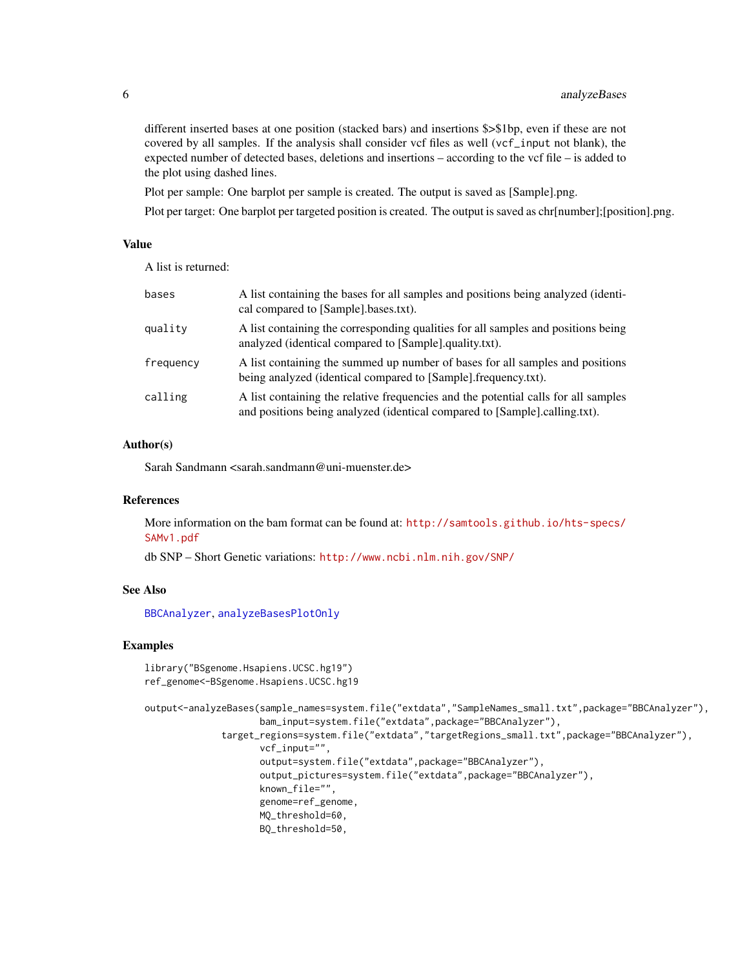different inserted bases at one position (stacked bars) and insertions \$>\$1bp, even if these are not covered by all samples. If the analysis shall consider vcf files as well (vcf\_input not blank), the expected number of detected bases, deletions and insertions – according to the vcf file – is added to the plot using dashed lines.

Plot per sample: One barplot per sample is created. The output is saved as [Sample].png.

Plot per target: One barplot per targeted position is created. The output is saved as chr[number];[position].png.

#### Value

A list is returned:

| bases     | A list containing the bases for all samples and positions being analyzed (identi-<br>cal compared to [Sample].bases.txt).                                        |
|-----------|------------------------------------------------------------------------------------------------------------------------------------------------------------------|
| quality   | A list containing the corresponding qualities for all samples and positions being<br>analyzed (identical compared to [Sample].quality.txt).                      |
| frequency | A list containing the summed up number of bases for all samples and positions<br>being analyzed (identical compared to [Sample].frequency.txt).                  |
| calling   | A list containing the relative frequencies and the potential calls for all samples<br>and positions being analyzed (identical compared to [Sample].calling.txt). |

#### Author(s)

Sarah Sandmann <sarah.sandmann@uni-muenster.de>

#### References

More information on the bam format can be found at: [http://samtools.github.io/hts-specs/](http://samtools.github.io/hts-specs/SAMv1.pdf) [SAMv1.pdf](http://samtools.github.io/hts-specs/SAMv1.pdf)

db SNP – Short Genetic variations: <http://www.ncbi.nlm.nih.gov/SNP/>

#### See Also

[BBCAnalyzer](#page-1-1), [analyzeBasesPlotOnly](#page-6-1)

#### Examples

```
library("BSgenome.Hsapiens.UCSC.hg19")
ref_genome<-BSgenome.Hsapiens.UCSC.hg19
```

```
output<-analyzeBases(sample_names=system.file("extdata","SampleNames_small.txt",package="BBCAnalyzer"),
                     bam_input=system.file("extdata",package="BBCAnalyzer"),
              target_regions=system.file("extdata","targetRegions_small.txt",package="BBCAnalyzer"),
                     vcf_input="",
                     output=system.file("extdata",package="BBCAnalyzer"),
                     output_pictures=system.file("extdata",package="BBCAnalyzer"),
                     known_file="",
                     genome=ref_genome,
                     MQ_threshold=60,
                     BQ_threshold=50,
```
<span id="page-5-0"></span>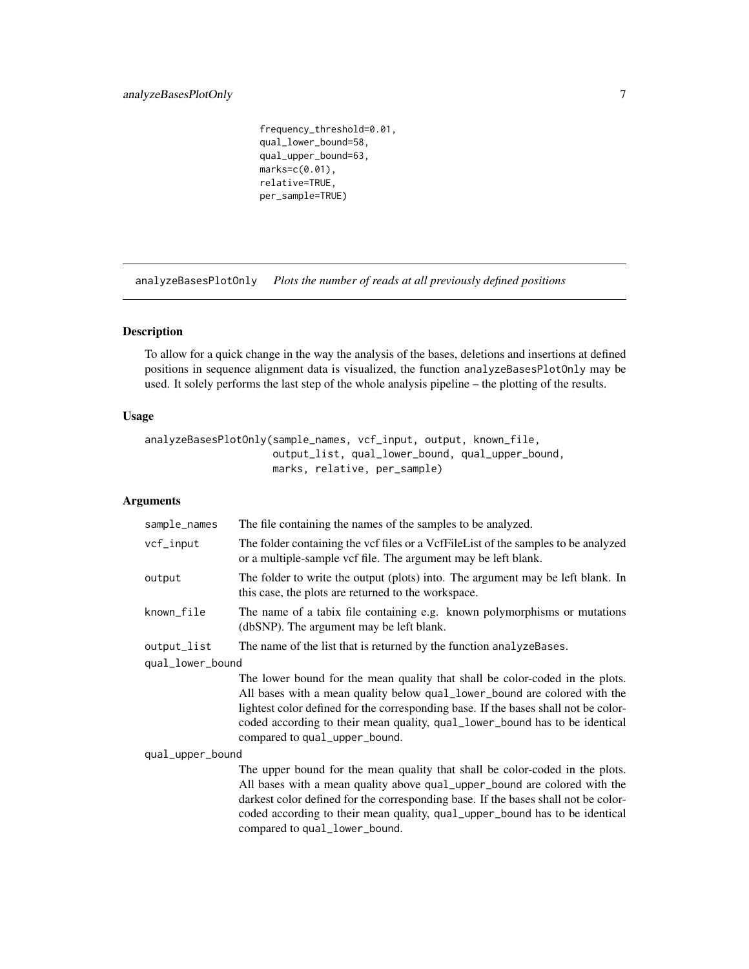<span id="page-6-0"></span>frequency\_threshold=0.01, qual\_lower\_bound=58, qual\_upper\_bound=63, marks=c(0.01), relative=TRUE, per\_sample=TRUE)

<span id="page-6-1"></span>analyzeBasesPlotOnly *Plots the number of reads at all previously defined positions*

#### Description

To allow for a quick change in the way the analysis of the bases, deletions and insertions at defined positions in sequence alignment data is visualized, the function analyzeBasesPlotOnly may be used. It solely performs the last step of the whole analysis pipeline – the plotting of the results.

#### Usage

```
analyzeBasesPlotOnly(sample_names, vcf_input, output, known_file,
                     output_list, qual_lower_bound, qual_upper_bound,
                     marks, relative, per_sample)
```
#### Arguments

| sample_names     | The file containing the names of the samples to be analyzed.                                                                                                                                                                                                                                                                                                     |
|------------------|------------------------------------------------------------------------------------------------------------------------------------------------------------------------------------------------------------------------------------------------------------------------------------------------------------------------------------------------------------------|
| vcf_input        | The folder containing the vcf files or a VcfFileList of the samples to be analyzed<br>or a multiple-sample vcf file. The argument may be left blank.                                                                                                                                                                                                             |
| output           | The folder to write the output (plots) into. The argument may be left blank. In<br>this case, the plots are returned to the workspace.                                                                                                                                                                                                                           |
| known_file       | The name of a tabix file containing e.g. known polymorphisms or mutations<br>(dbSNP). The argument may be left blank.                                                                                                                                                                                                                                            |
| output_list      | The name of the list that is returned by the function analyzeBases.                                                                                                                                                                                                                                                                                              |
| qual_lower_bound |                                                                                                                                                                                                                                                                                                                                                                  |
|                  | The lower bound for the mean quality that shall be color-coded in the plots.<br>All bases with a mean quality below qual_lower_bound are colored with the<br>lightest color defined for the corresponding base. If the bases shall not be color-<br>coded according to their mean quality, qual_lower_bound has to be identical<br>compared to qual_upper_bound. |
| qual_upper_bound |                                                                                                                                                                                                                                                                                                                                                                  |
|                  | The upper bound for the mean quality that shall be color-coded in the plots.<br>All bases with a mean quality above qual_upper_bound are colored with the<br>darkest color defined for the corresponding base. If the bases shall not be color-<br>coded according to their mean quality, qual_upper_bound has to be identical<br>compared to qual_lower_bound.  |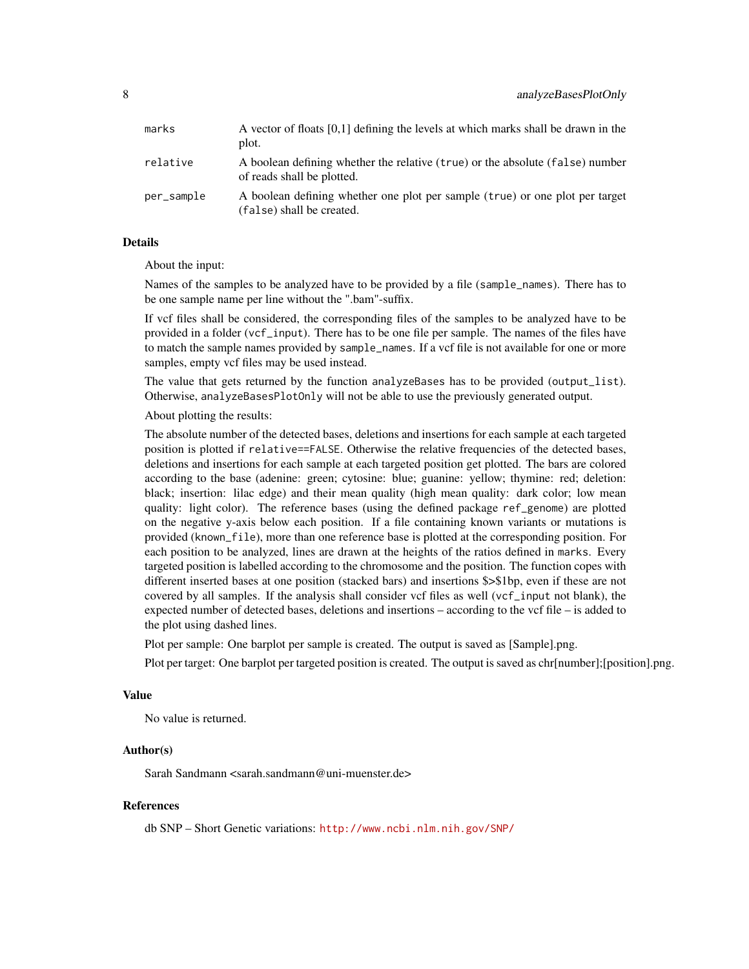| marks      | A vector of floats $[0,1]$ defining the levels at which marks shall be drawn in the<br>plot.                |
|------------|-------------------------------------------------------------------------------------------------------------|
| relative   | A boolean defining whether the relative (true) or the absolute (false) number<br>of reads shall be plotted. |
| per_sample | A boolean defining whether one plot per sample (true) or one plot per target<br>(false) shall be created.   |

#### Details

About the input:

Names of the samples to be analyzed have to be provided by a file (sample\_names). There has to be one sample name per line without the ".bam"-suffix.

If vcf files shall be considered, the corresponding files of the samples to be analyzed have to be provided in a folder (vcf\_input). There has to be one file per sample. The names of the files have to match the sample names provided by sample\_names. If a vcf file is not available for one or more samples, empty vcf files may be used instead.

The value that gets returned by the function analyzeBases has to be provided (output\_list). Otherwise, analyzeBasesPlotOnly will not be able to use the previously generated output.

About plotting the results:

The absolute number of the detected bases, deletions and insertions for each sample at each targeted position is plotted if relative==FALSE. Otherwise the relative frequencies of the detected bases, deletions and insertions for each sample at each targeted position get plotted. The bars are colored according to the base (adenine: green; cytosine: blue; guanine: yellow; thymine: red; deletion: black; insertion: lilac edge) and their mean quality (high mean quality: dark color; low mean quality: light color). The reference bases (using the defined package ref\_genome) are plotted on the negative y-axis below each position. If a file containing known variants or mutations is provided (known\_file), more than one reference base is plotted at the corresponding position. For each position to be analyzed, lines are drawn at the heights of the ratios defined in marks. Every targeted position is labelled according to the chromosome and the position. The function copes with different inserted bases at one position (stacked bars) and insertions \$>\$1bp, even if these are not covered by all samples. If the analysis shall consider vcf files as well (vcf\_input not blank), the expected number of detected bases, deletions and insertions – according to the vcf file – is added to the plot using dashed lines.

Plot per sample: One barplot per sample is created. The output is saved as [Sample].png.

Plot per target: One barplot per targeted position is created. The output is saved as chr[number];[position].png.

#### Value

No value is returned.

#### Author(s)

Sarah Sandmann <sarah.sandmann@uni-muenster.de>

#### References

db SNP – Short Genetic variations: <http://www.ncbi.nlm.nih.gov/SNP/>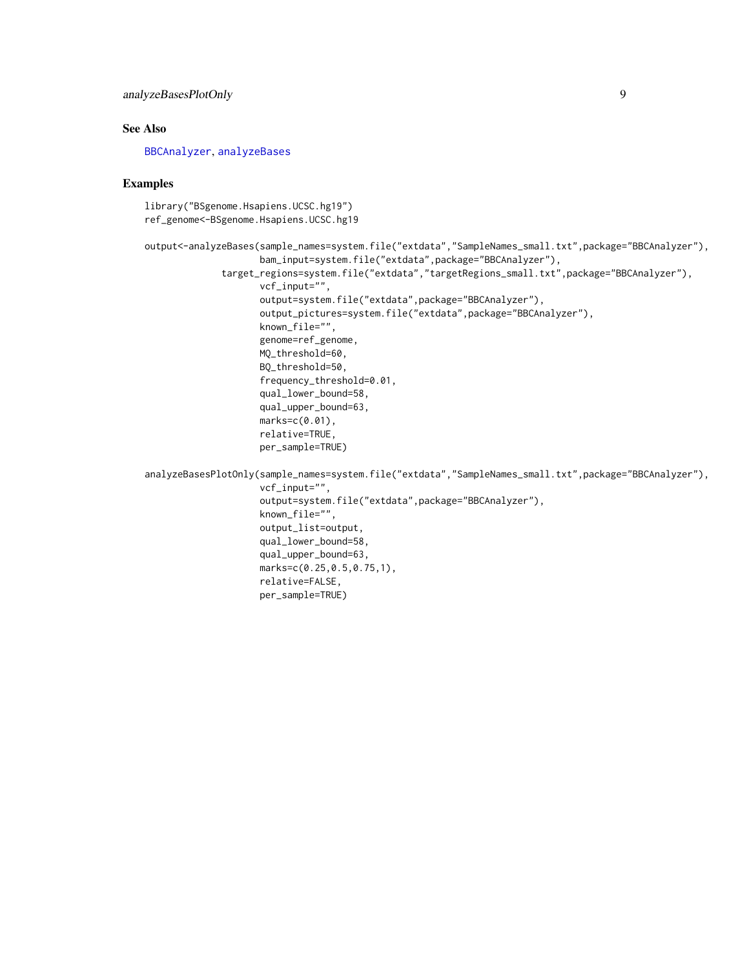#### <span id="page-8-0"></span>See Also

[BBCAnalyzer](#page-1-1), [analyzeBases](#page-2-1)

#### Examples

library("BSgenome.Hsapiens.UCSC.hg19") ref\_genome<-BSgenome.Hsapiens.UCSC.hg19

```
output<-analyzeBases(sample_names=system.file("extdata","SampleNames_small.txt",package="BBCAnalyzer"),
                     bam_input=system.file("extdata",package="BBCAnalyzer"),
              target_regions=system.file("extdata","targetRegions_small.txt",package="BBCAnalyzer"),
                     vcf_input="",
                     output=system.file("extdata",package="BBCAnalyzer"),
                     output_pictures=system.file("extdata",package="BBCAnalyzer"),
                     known_file="",
                     genome=ref_genome,
                     MQ_threshold=60,
                     BQ_threshold=50,
                     frequency_threshold=0.01,
                     qual_lower_bound=58,
                     qual_upper_bound=63,
                     marks=c(0.01),
                     relative=TRUE,
                     per_sample=TRUE)
```
analyzeBasesPlotOnly(sample\_names=system.file("extdata","SampleNames\_small.txt",package="BBCAnalyzer"), vcf\_input="", output=system.file("extdata",package="BBCAnalyzer"), known\_file="", output\_list=output, qual\_lower\_bound=58, qual\_upper\_bound=63, marks=c(0.25,0.5,0.75,1), relative=FALSE, per\_sample=TRUE)